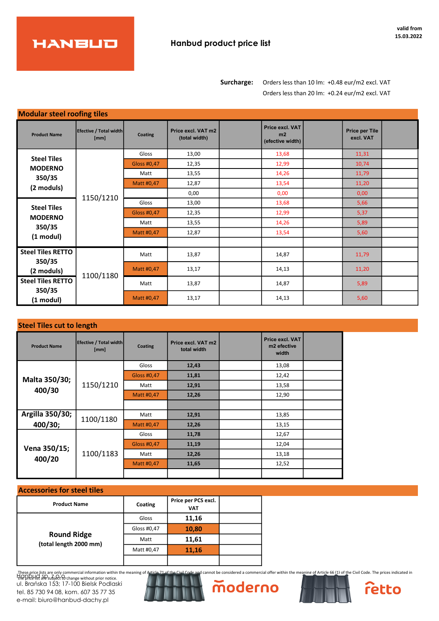

Surcharge: Orders less than 10 lm: +0.48 eur/m2 excl. VAT Orders less than 20 lm: +0.24 eur/m2 excl. VAT

| <b>Modular steel roofing tiles</b> |                                |             |                                     |                                           |                                    |  |
|------------------------------------|--------------------------------|-------------|-------------------------------------|-------------------------------------------|------------------------------------|--|
| <b>Product Name</b>                | Efective / Total width<br>[mm] | Coating     | Price excl. VAT m2<br>(total width) | Price excl. VAT<br>m2<br>(efective width) | <b>Price per Tile</b><br>excl. VAT |  |
| <b>Steel Tiles</b>                 |                                | Gloss       | 13,00                               | 13,68                                     | 11,31                              |  |
| <b>MODERNO</b>                     |                                | Gloss #0.47 | 12,35                               | 12,99                                     | 10,74                              |  |
| 350/35                             |                                | Matt        | 13,55                               | 14,26                                     | 11,79                              |  |
| (2 moduls)                         |                                | Matt #0,47  | 12,87                               | 13,54                                     | 11,20                              |  |
|                                    | 1150/1210                      |             | 0,00                                | 0,00                                      | 0,00                               |  |
| <b>Steel Tiles</b>                 |                                | Gloss       | 13,00                               | 13,68                                     | 5,66                               |  |
| <b>MODERNO</b>                     |                                | Gloss #0,47 | 12,35                               | 12,99                                     | 5,37                               |  |
| 350/35                             |                                | Matt        | 13,55                               | 14,26                                     | 5,89                               |  |
| $(1 \text{ modul})$                |                                | Matt #0,47  | 12,87                               | 13,54                                     | 5,60                               |  |
|                                    |                                |             |                                     |                                           |                                    |  |
| <b>Steel Tiles RETTO</b><br>350/35 |                                | Matt        | 13,87                               | 14,87                                     | 11,79                              |  |
| (2 moduls)                         | 1100/1180                      | Matt #0,47  | 13,17                               | 14,13                                     | 11,20                              |  |
| <b>Steel Tiles RETTO</b><br>350/35 |                                | Matt        | 13,87                               | 14,87                                     | 5,89                               |  |
| $(1 \text{ modul})$                |                                | Matt #0,47  | 13,17                               | 14,13                                     | 5,60                               |  |

## Steel Tiles cut to length

| <b>Product Name</b> | Efective / Total width<br>[mm] | Coating      | Price excl. VAT m2<br>total width | Price excl. VAT<br>m <sub>2</sub> efective<br>width |  |
|---------------------|--------------------------------|--------------|-----------------------------------|-----------------------------------------------------|--|
|                     |                                | <b>Gloss</b> | 12,43                             | 13,08                                               |  |
| Malta 350/30;       |                                | Gloss #0,47  | 11,81                             | 12,42                                               |  |
| 400/30              | 1150/1210                      | Matt         | 12,91                             | 13,58                                               |  |
|                     |                                | Matt #0,47   | 12,26                             | 12,90                                               |  |
|                     |                                |              |                                   |                                                     |  |
| Argilla 350/30;     | 1100/1180                      | Matt         | 12,91                             | 13,85                                               |  |
| 400/30;             |                                | Matt #0,47   | 12,26                             | 13,15                                               |  |
|                     |                                | Gloss        | 11,78                             | 12,67                                               |  |
| Vena 350/15;        |                                | Gloss #0,47  | 11,19                             | 12,04                                               |  |
| 400/20              | 1100/1183                      | Matt         | 12,26                             | 13,18                                               |  |
|                     |                                | Matt #0,47   | 11,65                             | 12,52                                               |  |
|                     |                                |              |                                   |                                                     |  |

## Accessories for steel tiles

| <b>Product Name</b>                          | Coating     | Price per PCS excl.<br><b>VAT</b> |  |
|----------------------------------------------|-------------|-----------------------------------|--|
|                                              | Gloss       | 11,16                             |  |
|                                              | Gloss #0,47 | 10,80                             |  |
| <b>Round Ridge</b><br>(total length 2000 mm) | Matt        | 11,61                             |  |
|                                              | Matt #0,47  | 11,16                             |  |
|                                              |             |                                   |  |

These price lists are only commercial information within the meaning of Article 71 of the Civil Code and cannot be considered a commercial offer within the meaning of Article 66 (1) of the Civil Code. The prices indicated Happelist are subject to change without prior notice. ul. Brańska 153; 17-100 Bielsk Podlaski tel. 85 730 94 08, kom. 607 35 77 35 e-mail: biuro@hanbud-dachy.pl



moderno



retto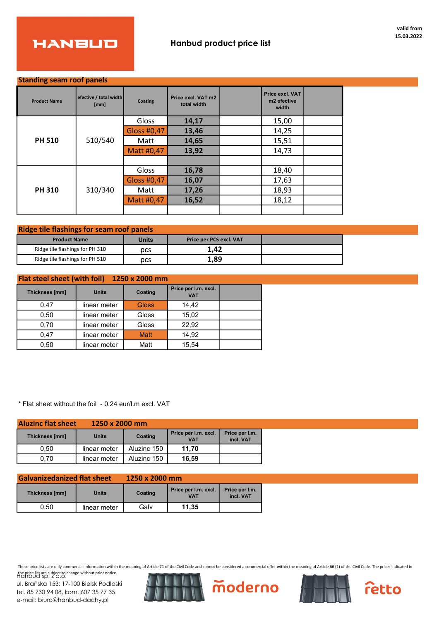

## Standing seam roof panels

| <b>Product Name</b> | efective / total width<br>[mm] | Coating            | Price excl. VAT m2<br>total width | Price excl. VAT<br>m <sub>2</sub> efective<br>width |  |
|---------------------|--------------------------------|--------------------|-----------------------------------|-----------------------------------------------------|--|
|                     |                                | Gloss              | 14,17                             | 15,00                                               |  |
|                     |                                | <b>Gloss #0,47</b> | 13,46                             | 14,25                                               |  |
| <b>PH 510</b>       | 510/540                        | Matt               | 14,65                             | 15,51                                               |  |
|                     |                                | Matt #0,47         | 13,92                             | 14,73                                               |  |
|                     |                                |                    |                                   |                                                     |  |
|                     |                                | Gloss              | 16,78                             | 18,40                                               |  |
| <b>PH 310</b>       |                                | Gloss #0,47        | 16,07                             | 17,63                                               |  |
|                     | 310/340                        | Matt               | 17,26                             | 18,93                                               |  |
|                     |                                | Matt #0,47         | 16,52                             | 18,12                                               |  |
|                     |                                |                    |                                   |                                                     |  |

| <b>Ridge tile flashings for seam roof panels</b> |              |                                |  |  |  |  |  |  |
|--------------------------------------------------|--------------|--------------------------------|--|--|--|--|--|--|
| <b>Product Name</b>                              | <b>Units</b> | <b>Price per PCS excl. VAT</b> |  |  |  |  |  |  |
| Ridge tile flashings for PH 310                  | pcs          | 1.42                           |  |  |  |  |  |  |
| Ridge tile flashings for PH 510                  | pcs          | 1,89                           |  |  |  |  |  |  |

| <b>Flat steel sheet (with foil)</b><br>1250 x 2000 mm |              |              |                                    |  |  |  |  |  |  |  |
|-------------------------------------------------------|--------------|--------------|------------------------------------|--|--|--|--|--|--|--|
| Thickness [mm]                                        | <b>Units</b> | Coating      | Price per I.m. excl.<br><b>VAT</b> |  |  |  |  |  |  |  |
| 0.47                                                  | linear meter | <b>Gloss</b> | 14.42                              |  |  |  |  |  |  |  |
| 0.50                                                  | linear meter | Gloss        | 15.02                              |  |  |  |  |  |  |  |
| 0,70                                                  | linear meter | Gloss        | 22,92                              |  |  |  |  |  |  |  |
| 0.47                                                  | linear meter | <b>Matt</b>  | 14.92                              |  |  |  |  |  |  |  |
| 0.50                                                  | linear meter | Matt         | 15.54                              |  |  |  |  |  |  |  |

\* Flat sheet without the foil - 0.24 eur/l.m excl. VAT

| <b>Aluzinc flat sheet</b> | $1250 \times 2000$ mm |             |                                    |                             |
|---------------------------|-----------------------|-------------|------------------------------------|-----------------------------|
| Thickness [mm]            | <b>Units</b>          | Coating     | Price per I.m. excl.<br><b>VAT</b> | Price per I.m.<br>incl. VAT |
| 0,50                      | linear meter          | Aluzinc 150 | 11.70                              |                             |
| 0.70                      | linear meter          | Aluzinc 150 | 16.59                              |                             |

| <b>Galvanizedanized flat sheet</b> |              | 1250 x 2000 mm |                                                                   |  |  |  |
|------------------------------------|--------------|----------------|-------------------------------------------------------------------|--|--|--|
| Thickness [mm]<br><b>Units</b>     |              | Coating        | Price per I.m. excl.<br>Price per I.m.<br>incl. VAT<br><b>VAT</b> |  |  |  |
| 0.50                               | linear meter | Galv           | 11.35                                                             |  |  |  |

These price lists are only commercial information within the meaning of Article 71 of the Civil Code and cannot be considered a commercial offer within the meaning of Article 66 (1) of the Civil Code. The prices indicated in the price list are subject to change without prior notice. Hanbud sp. z o.o.

ul. Brańska 153; 17-100 Bielsk Podlaski tel. 85 730 94 08, kom. 607 35 77 35 e-mail: biuro@hanbud-dachy.pl







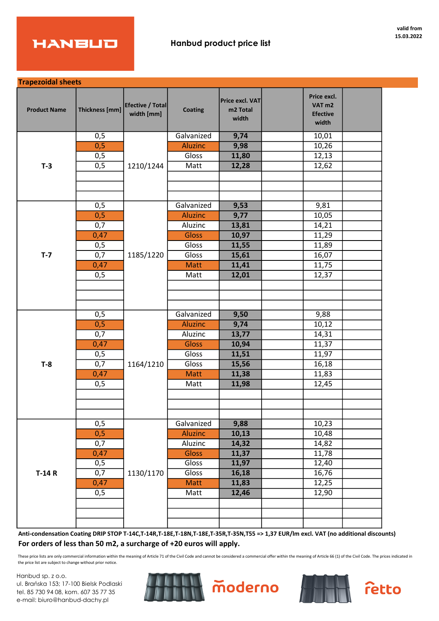

Trapezoidal sheets

| <b>Product Name</b> | Thickness [mm] | Efective / Total<br>width [mm] | <b>Coating</b> | Price excl. VAT<br>m2 Total<br>width | Price excl.<br>VAT <sub>m2</sub><br><b>Efective</b><br>width |  |
|---------------------|----------------|--------------------------------|----------------|--------------------------------------|--------------------------------------------------------------|--|
|                     | 0,5            |                                | Galvanized     | 9,74                                 | 10,01                                                        |  |
|                     | 0,5            |                                | <b>Aluzinc</b> | 9,98                                 | 10,26                                                        |  |
|                     | 0,5            |                                | Gloss          | 11,80                                | 12,13                                                        |  |
| $T-3$               | 0,5            | 1210/1244                      | Matt           | 12,28                                | 12,62                                                        |  |
|                     |                |                                |                |                                      |                                                              |  |
|                     |                |                                |                |                                      |                                                              |  |
|                     |                |                                |                |                                      |                                                              |  |
|                     | 0,5            |                                | Galvanized     | 9,53                                 | 9,81                                                         |  |
|                     | 0,5            |                                | <b>Aluzinc</b> | 9,77                                 | 10,05                                                        |  |
|                     | 0,7            |                                | Aluzinc        | 13,81                                | 14,21                                                        |  |
|                     | 0,47           |                                | <b>Gloss</b>   | 10,97                                | 11,29                                                        |  |
|                     | 0,5            |                                | Gloss          | 11,55                                | 11,89                                                        |  |
| $T - 7$             | 0,7            | 1185/1220                      | Gloss          | 15,61                                | 16,07                                                        |  |
|                     | 0,47           |                                | <b>Matt</b>    | 11,41                                | 11,75                                                        |  |
|                     | 0,5            |                                | Matt           | 12,01                                | 12,37                                                        |  |
|                     |                |                                |                |                                      |                                                              |  |
|                     |                |                                |                |                                      |                                                              |  |
|                     |                |                                |                |                                      |                                                              |  |
|                     | 0,5            |                                | Galvanized     | 9,50                                 | 9,88                                                         |  |
|                     | 0,5            |                                | <b>Aluzinc</b> | 9,74                                 | 10,12                                                        |  |
|                     | 0,7            |                                | Aluzinc        | 13,77                                | 14,31                                                        |  |
|                     | 0,47           |                                | <b>Gloss</b>   | 10,94                                | 11,37                                                        |  |
|                     | 0,5            |                                | Gloss          | 11,51                                | 11,97                                                        |  |
| $T-8$               | 0,7            | 1164/1210                      | Gloss          | 15,56                                | 16,18                                                        |  |
|                     | 0,47           |                                | <b>Matt</b>    | 11,38                                | 11,83                                                        |  |
|                     | 0,5            |                                | Matt           | 11,98                                | 12,45                                                        |  |
|                     |                |                                |                |                                      |                                                              |  |
|                     |                |                                |                |                                      |                                                              |  |
|                     |                |                                |                |                                      |                                                              |  |
|                     | 0,5            |                                | Galvanized     | 9,88                                 | 10,23                                                        |  |
|                     | 0,5            |                                | <b>Aluzinc</b> | 10,13                                | 10,48                                                        |  |
|                     | 0,7            |                                | Aluzinc        | 14,32                                | 14,82                                                        |  |
|                     | 0,47           |                                | <b>Gloss</b>   | 11,37                                | 11,78                                                        |  |
|                     | 0,5            |                                | Gloss          | 11,97                                | 12,40                                                        |  |
| $T-14R$             | 0,7            | 1130/1170                      | Gloss          | 16,18                                | 16,76                                                        |  |
|                     | 0,47           |                                | Matt           | 11,83                                | 12,25                                                        |  |
|                     | 0,5            |                                | Matt           | 12,46                                | 12,90                                                        |  |
|                     |                |                                |                |                                      |                                                              |  |
|                     |                |                                |                |                                      |                                                              |  |
|                     |                |                                |                |                                      |                                                              |  |

Anti-condensation Coating DRIP STOP T-14C,T-14R,T-18E,T-18N,T-18E,T-35R,T-35N,T55 => 1,37 EUR/lm excl. VAT (no additional discounts) For orders of less than 50 m2, a surcharge of +20 euros will apply.

These price lists are only commercial information within the meaning of Article 71 of the Civil Code and cannot be considered a commercial offer within the meaning of Article 66 (1) of the Civil Code. The prices indicated the price list are subject to change without prior notice.

moderno

Hanbud sp. z o.o. ul. Brańska 153; 17-100 Bielsk Podlaski tel. 85 730 94 08, kom. 607 35 77 35 e-mail: biuro@hanbud-dachy.pl





retto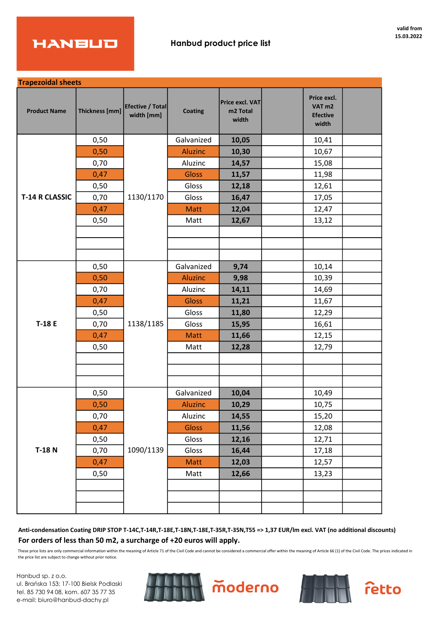

| <b>Trapezoidal sheets</b> |                |                                |                |                                      |                                                              |  |
|---------------------------|----------------|--------------------------------|----------------|--------------------------------------|--------------------------------------------------------------|--|
| <b>Product Name</b>       | Thickness [mm] | Efective / Total<br>width [mm] | <b>Coating</b> | Price excl. VAT<br>m2 Total<br>width | Price excl.<br>VAT <sub>m2</sub><br><b>Efective</b><br>width |  |
|                           | 0,50           |                                | Galvanized     | 10,05                                | 10,41                                                        |  |
|                           | 0,50           |                                | <b>Aluzinc</b> | 10,30                                | 10,67                                                        |  |
|                           | 0,70           |                                | Aluzinc        | 14,57                                | 15,08                                                        |  |
|                           | 0,47           |                                | Gloss          | 11,57                                | 11,98                                                        |  |
|                           | 0,50           |                                | Gloss          | 12,18                                | 12,61                                                        |  |
| <b>T-14 R CLASSIC</b>     | 0,70           | 1130/1170                      | Gloss          | 16,47                                | 17,05                                                        |  |
|                           | 0,47           |                                | <b>Matt</b>    | 12,04                                | 12,47                                                        |  |
|                           | 0,50           |                                | Matt           | 12,67                                | 13,12                                                        |  |
|                           |                |                                |                |                                      |                                                              |  |
|                           |                |                                |                |                                      |                                                              |  |
|                           |                |                                |                |                                      |                                                              |  |
|                           | 0,50           |                                | Galvanized     | 9,74                                 | 10,14                                                        |  |
|                           | 0,50           |                                | <b>Aluzinc</b> | 9,98                                 | 10,39                                                        |  |
|                           | 0,70           |                                | Aluzinc        | 14,11                                | 14,69                                                        |  |
|                           | 0,47           |                                | <b>Gloss</b>   | 11,21                                | 11,67                                                        |  |
|                           | 0,50           | 1138/1185                      | Gloss          | 11,80                                | 12,29                                                        |  |
| T-18 E                    | 0,70           |                                | Gloss          | 15,95                                | 16,61                                                        |  |
|                           | 0,47           |                                | <b>Matt</b>    | 11,66                                | 12,15                                                        |  |
|                           | 0,50           |                                | Matt           | 12,28                                | 12,79                                                        |  |
|                           |                |                                |                |                                      |                                                              |  |
|                           |                |                                |                |                                      |                                                              |  |
|                           |                |                                |                |                                      |                                                              |  |
|                           | 0,50           |                                | Galvanized     | 10,04                                | 10,49                                                        |  |
|                           | 0,50           |                                | <b>Aluzinc</b> | 10,29                                | 10,75                                                        |  |
|                           | 0,70           |                                | Aluzinc        | 14,55                                | 15,20                                                        |  |
|                           | 0,47           |                                | Gloss          | 11,56                                | 12,08                                                        |  |
|                           | 0,50           |                                | Gloss          | 12,16                                | 12,71                                                        |  |
| $T-18$ N                  | 0,70           | 1090/1139                      | Gloss          | 16,44                                | 17,18                                                        |  |
|                           | 0,47           |                                | Matt           | 12,03                                | 12,57                                                        |  |
|                           | 0,50           |                                | Matt           | 12,66                                | 13,23                                                        |  |
|                           |                |                                |                |                                      |                                                              |  |
|                           |                |                                |                |                                      |                                                              |  |
|                           |                |                                |                |                                      |                                                              |  |

Anti-condensation Coating DRIP STOP T-14C,T-14R,T-18E,T-18N,T-18E,T-35R,T-35N,T55 => 1,37 EUR/lm excl. VAT (no additional discounts) For orders of less than 50 m2, a surcharge of +20 euros will apply.

These price lists are only commercial information within the meaning of Article 71 of the Civil Code and cannot be considered a commercial offer within the meaning of Article 66 (1) of the Civil Code. The prices indicated the price list are subject to change without prior notice.

Hanbud sp. z o.o. ul. Brańska 153; 17-100 Bielsk Podlaski tel. 85 730 94 08, kom. 607 35 77 35 e-mail: biuro@hanbud-dachy.pl